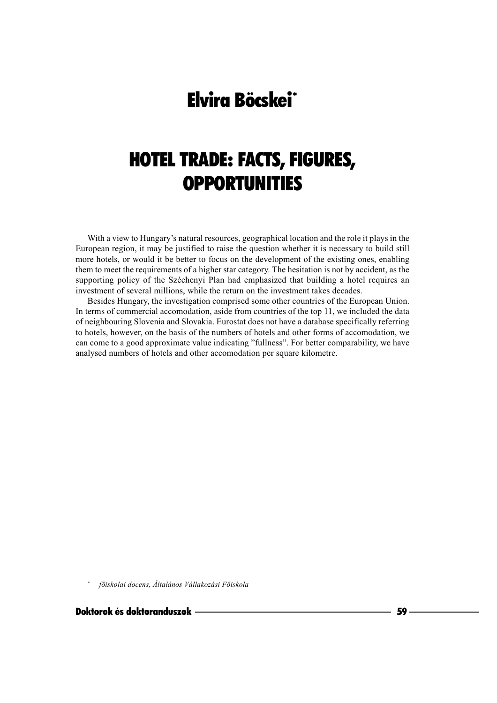# **Elvira Böcskei\***

# **HOTEL TRADE: FACTS, FIGURES, OPPORTUNITIES**

With a view to Hungary's natural resources, geographical location and the role it plays in the European region, it may be justified to raise the question whether it is necessary to build still more hotels, or would it be better to focus on the development of the existing ones, enabling them to meet the requirements of a higher star category. The hesitation is not by accident, as the supporting policy of the Széchenyi Plan had emphasized that building a hotel requires an investment of several millions, while the return on the investment takes decades.

Besides Hungary, the investigation comprised some other countries of the European Union. In terms of commercial accomodation, aside from countries of the top 11, we included the data of neighbouring Slovenia and Slovakia. Eurostat does not have a database specifically referring to hotels, however, on the basis of the numbers of hotels and other forms of accomodation, we can come to a good approximate value indicating "fullness". For better comparability, we have analysed numbers of hotels and other accomodation per square kilometre.

főiskolai docens, Általános Vállakozási Főiskola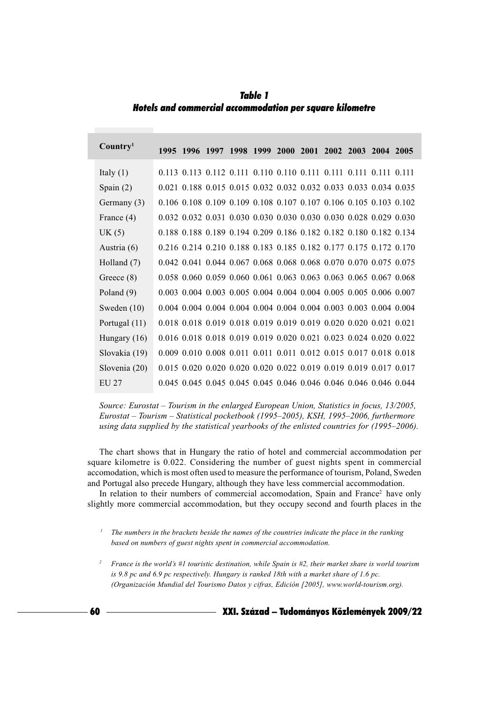**Table 1** Hotels and commercial accommodation per square kilometre

| Country <sup>1</sup> |  |  |  | 1995 1996 1997 1998 1999 2000 2001 2002 2003 2004 2005                                  |  |  |
|----------------------|--|--|--|-----------------------------------------------------------------------------------------|--|--|
| Italy $(1)$          |  |  |  | 0.113 0.113 0.112 0.111 0.110 0.110 0.111 0.111 0.111 0.111 0.111                       |  |  |
| Spain $(2)$          |  |  |  | 0.021 0.188 0.015 0.015 0.032 0.032 0.032 0.033 0.033 0.034 0.035                       |  |  |
| Germany (3)          |  |  |  | 0.106 0.108 0.109 0.109 0.108 0.107 0.107 0.106 0.105 0.103 0.102                       |  |  |
| France $(4)$         |  |  |  | 0.032 0.032 0.031 0.030 0.030 0.030 0.030 0.030 0.028 0.029 0.030                       |  |  |
| UK(5)                |  |  |  | 0.188 0.188 0.189 0.194 0.209 0.186 0.182 0.182 0.180 0.182 0.134                       |  |  |
| Austria (6)          |  |  |  | 0.216 0.214 0.210 0.188 0.183 0.185 0.182 0.177 0.175 0.172 0.170                       |  |  |
| Holland (7)          |  |  |  | 0.042 0.041 0.044 0.067 0.068 0.068 0.068 0.070 0.070 0.075 0.075                       |  |  |
| Greece $(8)$         |  |  |  | 0.058 0.060 0.059 0.060 0.061 0.063 0.063 0.063 0.065 0.067 0.068                       |  |  |
| Poland $(9)$         |  |  |  | 0.003 0.004 0.003 0.005 0.004 0.004 0.004 0.005 0.005 0.006 0.007                       |  |  |
| Sweden $(10)$        |  |  |  | 0.004 0.004 0.004 0.004 0.004 0.004 0.004 0.003 0.003 0.004 0.004                       |  |  |
| Portugal (11)        |  |  |  | 0.018 0.018 0.019 0.018 0.019 0.019 0.019 0.020 0.020 0.021 0.021                       |  |  |
| Hungary $(16)$       |  |  |  | $0.016$ $0.018$ $0.018$ $0.019$ $0.019$ $0.020$ $0.021$ $0.023$ $0.024$ $0.020$ $0.022$ |  |  |
| Slovakia (19)        |  |  |  | 0.009 0.010 0.008 0.011 0.011 0.011 0.012 0.015 0.017 0.018 0.018                       |  |  |
| Slovenia (20)        |  |  |  | 0.015 0.020 0.020 0.020 0.020 0.022 0.019 0.019 0.019 0.017 0.017                       |  |  |
| EU 27                |  |  |  | 0.045 0.045 0.045 0.045 0.045 0.046 0.046 0.046 0.046 0.046 0.044                       |  |  |

Source: Eurostat – Tourism in the enlarged European Union, Statistics in focus, 13/2005, Eurostat – Tourism – Statistical pocketbook (1995–2005), KSH, 1995–2006, furthermore using data supplied by the statistical yearbooks of the enlisted countries for (1995–2006).

The chart shows that in Hungary the ratio of hotel and commercial accommodation per square kilometre is 0.022. Considering the number of guest nights spent in commercial accomodation, which is most often used to measure the performance of tourism, Poland, Sweden and Portugal also precede Hungary, although they have less commercial accommodation.

In relation to their numbers of commercial accomodation, Spain and France<sup>2</sup> have only slightly more commercial accommodation, but they occupy second and fourth places in the

<sup>2</sup> France is the world's #1 touristic destination, while Spain is #2, their market share is world tourism is 9.8 pc and 6.9 pc respectively. Hungary is ranked 18th with a market share of 1.6 pc. (Organización Mundial del Tourismo Datos y cifras, Edición [2005], www.world-tourism.org).

60

 $\mathcal{I}$ The numbers in the brackets beside the names of the countries indicate the place in the ranking based on numbers of guest nights spent in commercial accommodation.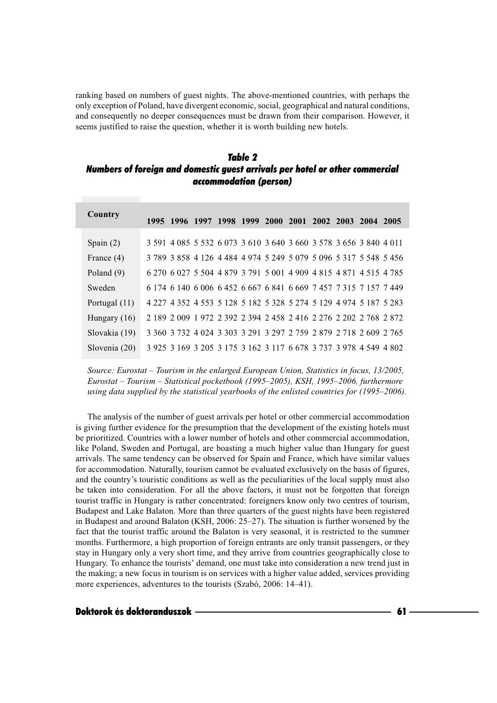ranking based on numbers of guest nights. The above-mentioned countries, with perhaps the only exception of Poland, have divergent economic, social, geographical and natural conditions, and consequently no deeper consequences must be drawn from their comparison. However, it seems justified to raise the question, whether it is worth building new hotels.

## *Table 2 Numbers of foreign and domestic guest arrivals per hotel or other commercial accommodation (person)*

| Country        | 1995 1996 1997 1998 1999 2000 2001 2002 2003 2004 2005            |  |  |  |  |  |
|----------------|-------------------------------------------------------------------|--|--|--|--|--|
|                |                                                                   |  |  |  |  |  |
| Spain $(2)$    | 3 591 4 085 5 532 6 073 3 610 3 640 3 660 3 578 3 656 3 840 4 011 |  |  |  |  |  |
| France (4)     | 3 789 3 858 4 126 4 484 4 974 5 249 5 079 5 096 5 317 5 548 5 456 |  |  |  |  |  |
| Poland $(9)$   | 6 270 6 027 5 504 4 879 3 791 5 001 4 909 4 815 4 871 4 515 4 785 |  |  |  |  |  |
| Sweden         | 6 174 6 140 6 006 6 452 6 667 6 841 6 669 7 457 7 315 7 157 7 449 |  |  |  |  |  |
| Portugal (11)  | 4 227 4 352 4 553 5 128 5 182 5 328 5 274 5 129 4 974 5 187 5 283 |  |  |  |  |  |
| Hungary $(16)$ | 2 189 2 009 1 972 2 392 2 394 2 458 2 416 2 276 2 202 2 768 2 872 |  |  |  |  |  |
| Slovakia (19)  | 3 360 3 732 4 024 3 303 3 291 3 297 2 759 2 879 2 718 2 609 2 765 |  |  |  |  |  |
| Slovenia (20)  | 3 925 3 169 3 205 3 175 3 162 3 117 6 678 3 737 3 978 4 549 4 802 |  |  |  |  |  |

Source: Eurostat – Tourism in the enlarged European Union, Statistics in focus, 13/2005, Eurostat – Tourism – Statistical pocketbook (1995–2005), KSH, 1995–2006, furthermore using data supplied by the statistical yearbooks of the enlisted countries for (1995–2006).

The analysis of the number of guest arrivals per hotel or other commercial accommodation is giving further evidence for the presumption that the development of the existing hotels must be prioritized. Countries with a lower number of hotels and other commercial accommodation, like Poland, Sweden and Portugal, are boasting a much higher value than Hungary for guest arrivals. The same tendency can be observed for Spain and France, which have similar values for accommodation. Naturally, tourism cannot be evaluated exclusively on the basis of figures, and the country's touristic conditions as well as the peculiarities of the local supply must also be taken into consideration. For all the above factors, it must not be forgotten that foreign tourist traffic in Hungary is rather concentrated: foreigners know only two centres of tourism, Budapest and Lake Balaton. More than three quarters of the guest nights have been registered in Budapest and around Balaton (KSH, 2006: 25–27). The situation is further worsened by the fact that the tourist traffic around the Balaton is very seasonal, it is restricted to the summer months. Furthermore, a high proportion of foreign entrants are only transit passengers, or they stay in Hungary only a very short time, and they arrive from countries geographically close to Hungary. To enhance the tourists' demand, one must take into consideration a new trend just in the making; a new focus in tourism is on services with a higher value added, services providing more experiences, adventures to the tourists (Szabó, 2006: 14–41).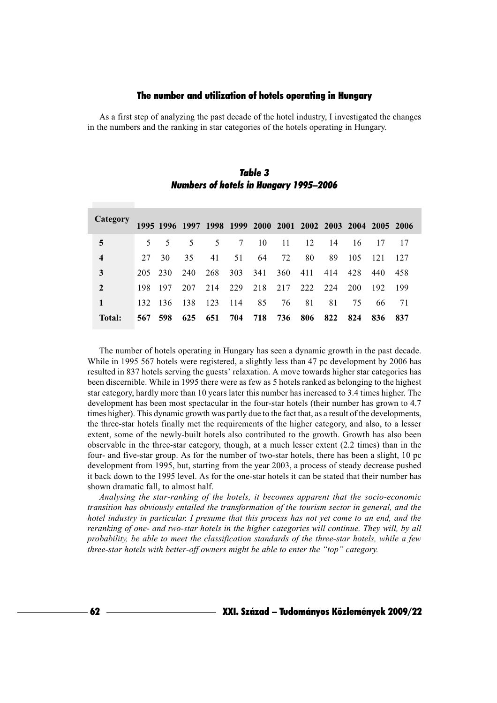### The number and utilization of hotels operating in Hungary

As a first step of analyzing the past decade of the hotel industry, I investigated the changes in the numbers and the ranking in star categories of the hotels operating in Hungary.

| <b>Category</b>         |                |      |     |             |     |     |     | 1995 1996 1997 1998 1999 2000 2001 2002 2003 2004 2005 2006 |     |     |     |      |
|-------------------------|----------------|------|-----|-------------|-----|-----|-----|-------------------------------------------------------------|-----|-----|-----|------|
| 5                       | 5 <sup>7</sup> | 5    | 5   | $5^{\circ}$ | 7   | 10  | 11  | 12                                                          | 14  | 16  | 17  | 17   |
| $\overline{\mathbf{4}}$ | 27             | 30   | 35  | 41          | 51  | 64  | 72  | 80                                                          | 89  | 105 | 121 | 127  |
| 3                       | 205            | 230  | 240 | 268         | 303 | 341 | 360 | 411                                                         | 414 | 428 | 440 | 458  |
| $\overline{2}$          | 198            | 197  | 207 | 214         | 229 | 218 | 217 | 222                                                         | 224 | 200 | 192 | -199 |
| 1                       | 132            | -136 | 138 | 123         | 114 | 85  | 76  | 81                                                          | 81  | 75  | 66  | 71   |
| Total:                  | 567            | 598  | 625 | 651         | 704 | 718 | 736 | 806                                                         | 822 | 824 | 836 | 837  |

Table 3 **Numbers of hotels in Hungary 1995-2006** 

The number of hotels operating in Hungary has seen a dynamic growth in the past decade. While in 1995 567 hotels were registered, a slightly less than 47 pc development by 2006 has resulted in 837 hotels serving the guests' relaxation. A move towards higher star categories has been discernible. While in 1995 there were as few as 5 hotels ranked as belonging to the highest star category, hardly more than 10 years later this number has increased to 3.4 times higher. The development has been most spectacular in the four-star hotels (their number has grown to 4.7) times higher). This dynamic growth was partly due to the fact that, as a result of the developments, the three-star hotels finally met the requirements of the higher category, and also, to a lesser extent, some of the newly-built hotels also contributed to the growth. Growth has also been observable in the three-star category, though, at a much lesser extent (2.2 times) than in the four- and five-star group. As for the number of two-star hotels, there has been a slight, 10 pc development from 1995, but, starting from the year 2003, a process of steady decrease pushed it back down to the 1995 level. As for the one-star hotels it can be stated that their number has shown dramatic fall, to almost half.

Analysing the star-ranking of the hotels, it becomes apparent that the socio-economic transition has obviously entailed the transformation of the tourism sector in general, and the hotel industry in particular. I presume that this process has not yet come to an end, and the reranking of one- and two-star hotels in the higher categories will continue. They will, by all probability, be able to meet the classification standards of the three-star hotels, while a few three-star hotels with better-off owners might be able to enter the "top" category.

– XXI. Század – Tudományos Közlemények 2009/22

62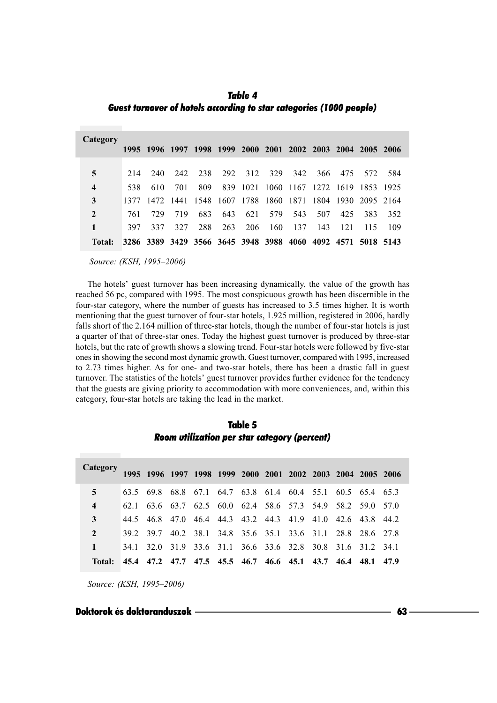*Table 4 Guest turnover of hotels according to star categories (1000 people)*

| Category                |      |                |                                                             |     |     |         |     |     |                                              |     |     |      |
|-------------------------|------|----------------|-------------------------------------------------------------|-----|-----|---------|-----|-----|----------------------------------------------|-----|-----|------|
|                         |      | 1995 1996 1997 |                                                             |     |     |         |     |     | 1998 1999 2000 2001 2002 2003 2004 2005 2006 |     |     |      |
|                         |      |                |                                                             |     |     |         |     |     |                                              |     |     |      |
| 5                       | 214  | 240            | 242                                                         | 238 |     | 292 312 | 329 | 342 | 366                                          | 475 | 572 | -584 |
| $\overline{\mathbf{4}}$ | 538  | 610            | 701                                                         | 809 |     |         |     |     | 839 1021 1060 1167 1272 1619 1853 1925       |     |     |      |
| 3                       | 1377 |                | 1472 1441 1548 1607 1788 1860 1871 1804 1930 2095 2164      |     |     |         |     |     |                                              |     |     |      |
| $\overline{2}$          | 761  | 729            | 719                                                         | 683 | 643 | 621     | 579 | 543 | 507                                          | 425 | 383 | 352  |
|                         | 397  | 337            | 327                                                         | 288 | 263 | 206     | 160 | 137 | 143                                          | 121 | 115 | -109 |
| Total:                  |      |                | 3286 3389 3429 3566 3645 3948 3988 4060 4092 4571 5018 5143 |     |     |         |     |     |                                              |     |     |      |

Source: (KSH, 1995-2006)

The hotels' guest turnover has been increasing dynamically, the value of the growth has reached 56 pc, compared with 1995. The most conspicuous growth has been discernible in the four-star category, where the number of guests has increased to 3.5 times higher. It is worth mentioning that the guest turnover of four-star hotels, 1.925 million, registered in 2006, hardly falls short of the 2.164 million of three-star hotels, though the number of four-star hotels is just a quarter of that of three-star ones. Today the highest guest turnover is produced by three-star hotels, but the rate of growth shows a slowing trend. Four-star hotels were followed by five-star ones in showing the second most dynamic growth. Guest turnover, compared with 1995, increased to 2.73 times higher. As for one- and two-star hotels, there has been a drastic fall in guest turnover. The statistics of the hotels' guest turnover provides further evidence for the tendency that the guests are giving priority to accommodation with more conveniences, and, within this category, four-star hotels are taking the lead in the market.

| Category                |      |           |      |  |  | 1995 1996 1997 1998 1999 2000 2001 2002 2003 2004 2005 2006 |      |      |      |
|-------------------------|------|-----------|------|--|--|-------------------------------------------------------------|------|------|------|
| 5                       |      | 63.5 69.8 | 68.8 |  |  | 67.1 64.7 63.8 61.4 60.4 55.1 60.5 65.4 65.3                |      |      |      |
| $\overline{\mathbf{4}}$ | 62.1 |           |      |  |  | 63.6 63.7 62.5 60.0 62.4 58.6 57.3 54.9 58.2 59.0 57.0      |      |      |      |
| $\mathbf{3}$            |      |           |      |  |  | 44.5 46.8 47.0 46.4 44.3 43.2 44.3 41.9 41.0 42.6 43.8 44.2 |      |      |      |
| $\overline{2}$          |      | 39.2 39.7 |      |  |  | 40.2 38.1 34.8 35.6 35.1 33.6 31.1 28.8 28.6 27.8           |      |      |      |
| $\mathbf{1}$            | 34.1 |           |      |  |  | 32.0 31.9 33.6 31.1 36.6 33.6 32.8 30.8 31.6 31.2 34.1      |      |      |      |
| Total:                  |      |           |      |  |  | 45.4 47.2 47.7 47.5 45.5 46.7 46.6 45.1 43.7                | 46.4 | 48.1 | 47.9 |

Table 5 *Room utilization per star category (percent)*

Source: (KSH, 1995-2006)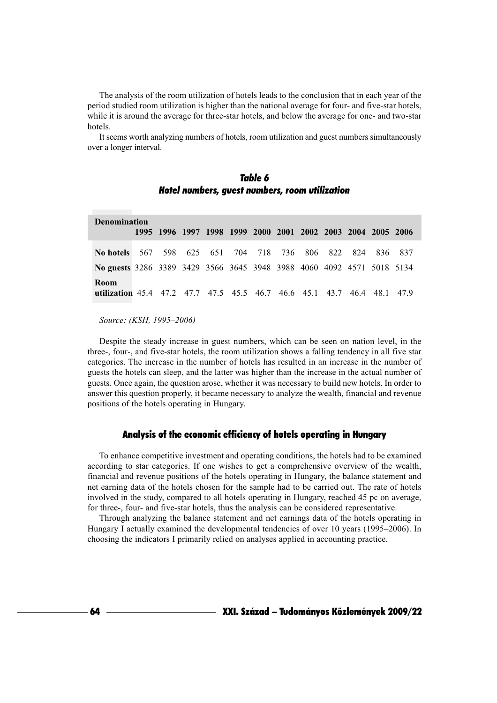The analysis of the room utilization of hotels leads to the conclusion that in each year of the period studied room utilization is higher than the national average for four- and five-star hotels, while it is around the average for three-star hotels, and below the average for one- and two-star hotels.

It seems worth analyzing numbers of hotels, room utilization and guest numbers simultaneously over a longer interval.

| Table 6                                        |  |
|------------------------------------------------|--|
| Hotel numbers, guest numbers, room utilization |  |

| <b>Denomination</b>                                                             |  |                                                             |  |  |  |  |  |                             |  |         |         |
|---------------------------------------------------------------------------------|--|-------------------------------------------------------------|--|--|--|--|--|-----------------------------|--|---------|---------|
|                                                                                 |  | 1995 1996 1997 1998 1999 2000 2001 2002 2003 2004 2005 2006 |  |  |  |  |  |                             |  |         |         |
| No hotels 567                                                                   |  |                                                             |  |  |  |  |  | 598 625 651 704 718 736 806 |  | 822 824 | 836 837 |
| No guests 3286 3389 3429 3566 3645 3948 3988 4060 4092 4571 5018 5134           |  |                                                             |  |  |  |  |  |                             |  |         |         |
| Room<br>utilization 45.4 47.2 47.7 47.5 45.5 46.7 46.6 45.1 43.7 46.4 48.1 47.9 |  |                                                             |  |  |  |  |  |                             |  |         |         |

Source: (KSH, 1995-2006)

Despite the steady increase in guest numbers, which can be seen on nation level, in the three-, four-, and five-star hotels, the room utilization shows a falling tendency in all five star categories. The increase in the number of hotels has resulted in an increase in the number of guests the hotels can sleep, and the latter was higher than the increase in the actual number of guests. Once again, the question arose, whether it was necessary to build new hotels. In order to answer this question properly, it became necessary to analyze the wealth, financial and revenue positions of the hotels operating in Hungary.

## Analysis of the economic efficiency of hotels operating in Hungary

To enhance competitive investment and operating conditions, the hotels had to be examined according to star categories. If one wishes to get a comprehensive overview of the wealth, financial and revenue positions of the hotels operating in Hungary, the balance statement and net earning data of the hotels chosen for the sample had to be carried out. The rate of hotels involved in the study, compared to all hotels operating in Hungary, reached 45 pc on average, for three-, four- and five-star hotels, thus the analysis can be considered representative.

Through analyzing the balance statement and net earnings data of the hotels operating in Hungary I actually examined the developmental tendencies of over 10 years (1995–2006). In choosing the indicators I primarily relied on analyses applied in accounting practice.

64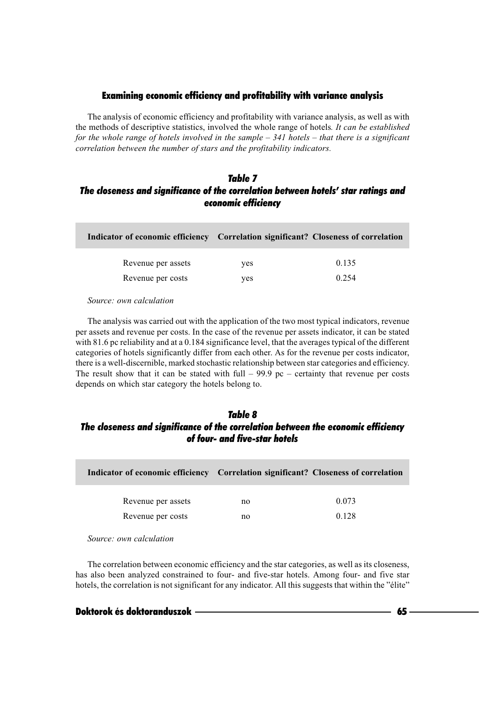### Examining economic efficiency and profitability with variance analysis

The analysis of economic efficiency and profitability with variance analysis, as well as with the methods of descriptive statistics, involved the whole range of hotels. It can be established for the whole range of hotels involved in the sample  $-$  341 hotels  $-$  that there is a significant correlation between the number of stars and the profitability indicators.

# *Table 7 The closeness and significance of the correlation between hotels' star ratings and economic efficiency*

| Indicator of economic efficiency Correlation significant? Closeness of correlation |     |       |
|------------------------------------------------------------------------------------|-----|-------|
| Revenue per assets                                                                 | yes | 0.135 |
| Revenue per costs                                                                  | yes | 0.254 |

Source: own calculation

The analysis was carried out with the application of the two most typical indicators, revenue per assets and revenue per costs. In the case of the revenue per assets indicator, it can be stated with  $81.6$  pc reliability and at a  $0.184$  significance level, that the averages typical of the different categories of hotels significantly differ from each other. As for the revenue per costs indicator, there is a well-discernible, marked stochastic relationship between star categories and efficiency. The result show that it can be stated with full  $-$  99.9 pc  $-$  certainty that revenue per costs depends on which star category the hotels belong to.

## *Table 8 The closeness and significance of the correlation between the economic efficiency of four- and five-star hotels*

| Indicator of economic efficiency Correlation significant? Closeness of correlation |    |       |
|------------------------------------------------------------------------------------|----|-------|
| Revenue per assets                                                                 | no | 0.073 |
| Revenue per costs                                                                  | no | 0.128 |

Source: own calculation

The correlation between economic efficiency and the star categories, as well as its closeness, has also been analyzed constrained to four- and five-star hotels. Among four- and five star hotels, the correlation is not significant for any indicator. All this suggests that within the "élite"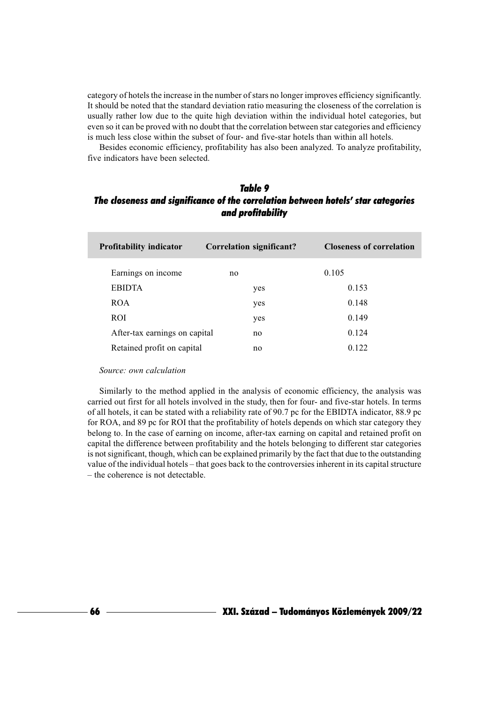category of hotels the increase in the number of stars no longer improves efficiency significantly. It should be noted that the standard deviation ratio measuring the closeness of the correlation is usually rather low due to the quite high deviation within the individual hotel categories, but even so it can be proved with no doubt that the correlation between star categories and efficiency is much less close within the subset of four- and five-star hotels than within all hotels.

Besides economic efficiency, profitability has also been analyzed. To analyze profitability, five indicators have been selected.

## Table 9 The closeness and significance of the correlation between hotels' star categories and profitability

| <b>Profitability indicator</b> | Correlation significant? | <b>Closeness of correlation</b> |
|--------------------------------|--------------------------|---------------------------------|
| Earnings on income             | no                       | 0.105                           |
| <b>EBIDTA</b>                  | yes                      | 0.153                           |
| <b>ROA</b>                     | yes                      | 0.148                           |
| ROI                            | yes                      | 0.149                           |
| After-tax earnings on capital  | no                       | 0.124                           |
| Retained profit on capital     | no                       | 0.122                           |

Source: own calculation

Similarly to the method applied in the analysis of economic efficiency, the analysis was carried out first for all hotels involved in the study, then for four- and five-star hotels. In terms of all hotels, it can be stated with a reliability rate of 90.7 pc for the EBIDTA indicator, 88.9 pc for ROA, and 89 pc for ROI that the profitability of hotels depends on which star category they belong to. In the case of earning on income, after-tax earning on capital and retained profit on capital the difference between profitability and the hotels belonging to different star categories is not significant, though, which can be explained primarily by the fact that due to the outstanding value of the individual hotels – that goes back to the controversies inherent in its capital structure - the coherence is not detectable.

– XXI. Század – Tudományos Közlemények 2009/22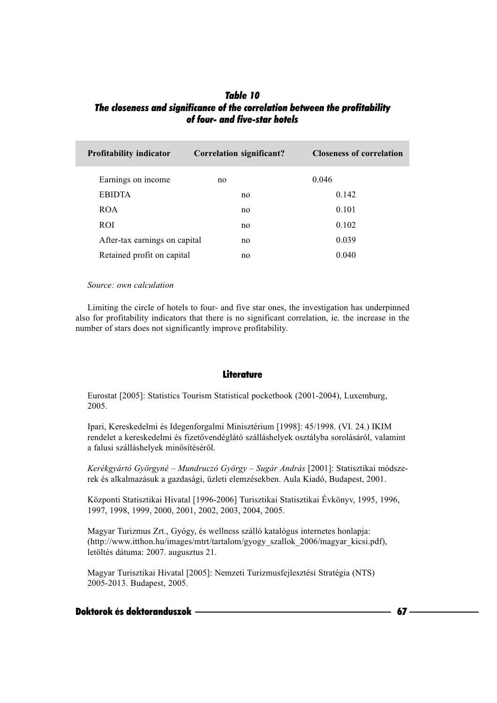# *Table 10 The closeness and significance of the correlation between the profitability of four- and five-star hotels*

| <b>Profitability indicator</b> | <b>Correlation significant?</b> | <b>Closeness of correlation</b> |
|--------------------------------|---------------------------------|---------------------------------|
| Earnings on income             | no                              | 0.046                           |
| <b>EBIDTA</b>                  | no                              | 0.142                           |
| <b>ROA</b>                     | no                              | 0.101                           |
| ROI.                           | no                              | 0.102                           |
| After-tax earnings on capital  | no                              | 0.039                           |
| Retained profit on capital     | no                              | 0.040                           |

#### Source: own calculation

Limiting the circle of hotels to four- and five star ones, the investigation has underpinned also for profitability indicators that there is no significant correlation, ie. the increase in the number of stars does not significantly improve profitability.

#### **Literature**

Eurostat [2005]: Statistics Tourism Statistical pocketbook (2001-2004), Luxemburg, 2005.

Ipari, Kereskedelmi és Idegenforgalmi Minisztérium [1998]: 45/1998. (VI. 24.) IKIM rendelet a kereskedelmi és fizetővendéglátó szálláshelyek osztályba sorolásáról, valamint a falusi szálláshelyek minősítéséről.

Kerékgyártó Györgyné – Mundruczó György – Sugár András [2001]: Statisztikai módszerek és alkalmazásuk a gazdasági, üzleti elemzésekben. Aula Kiadó, Budapest, 2001.

Központi Statisztikai Hivatal [1996-2006] Turisztikai Statisztikai Évkönyv, 1995, 1996, 1997, 1998, 1999, 2000, 2001, 2002, 2003, 2004, 2005.

Magyar Turizmus Zrt., Gyógy, és wellness szálló katalógus internetes honlapja: (http://www.itthon.hu/images/mtrt/tartalom/gyogy szallok 2006/magyar kicsi.pdf), letöltés dátuma: 2007. augusztus 21.

Magyar Turisztikai Hivatal [2005]: Nemzeti Turizmusfejlesztési Stratégia (NTS) 2005-2013. Budapest, 2005.